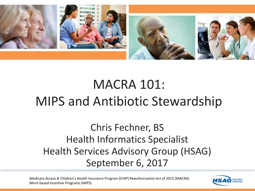

## MACRA 101: MIPS and Antibiotic Stewardship

Chris Fechner, BS Health Informatics Specialist Health Services Advisory Group (HSAG) September 6, 2017

Medicare Access & Children's Health Insurance Program [CHIP] Reauthorization Act of 2015 (MACRA) Merit-based Incentive Programs (MIPS)

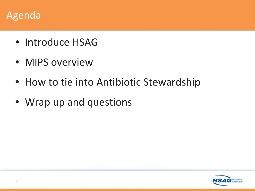### Agenda

- Introduce HSAG
- MIPS overview
- How to tie into Antibiotic Stewardship
- Wrap up and questions

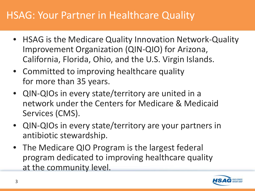## HSAG: Your Partner in Healthcare Quality

- HSAG is the Medicare Quality Innovation Network-Quality Improvement Organization (QIN-QIO) for Arizona, California, Florida, Ohio, and the U.S. Virgin Islands.
- Committed to improving healthcare quality for more than 35 years.
- QIN-QIOs in every state/territory are united in a network under the Centers for Medicare & Medicaid Services (CMS).
- QIN-QIOs in every state/territory are your partners in antibiotic stewardship.
- The Medicare QIO Program is the largest federal program dedicated to improving healthcare quality at the community level.

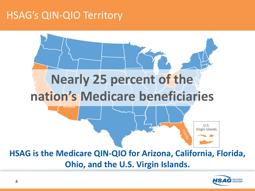## HSAG's QIN-QIO Territory



**Ohio, and the U.S. Virgin Islands.** 

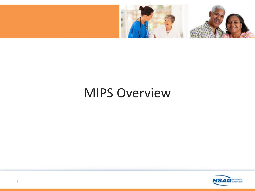

## MIPS Overview

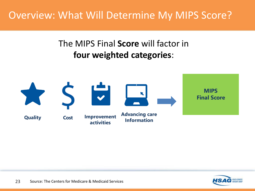## Overview: What Will Determine My MIPS Score?

### The MIPS Final **Score** will factor in **four weighted categories**:



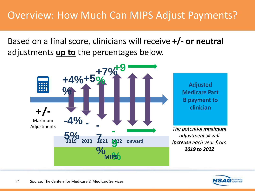Based on a final score, clinicians will receive **+/- or neutral** adjustments **up to** the percentages below.



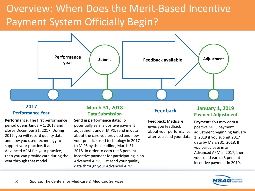## Overview: When Does the Merit-Based Incentive Payment System Officially Begin?



#### **2017 Performance Year**

**Performance**: The first performance period opens January 1, 2017 and closes December 31, 2017. During 2017, you will record quality data and how you used technology to support your practice. If an Advanced APM fits your practice, then you can provide care during the year through that model.

#### **March 31, 2018 Data Submission**

**Send in performance data:** To potentially earn a positive payment adjustment under MIPS, send in data about the care you provided and how your practice used technology in 2017 to MIPS by the deadline, March 31, 2018. In order to earn the 5 percent incentive payment for participating in an Advanced APM, just send your quality data through your Advanced APM.

**Feedback:** Medicare gives you feedback about your performance after you send your data.

#### **Feedback January 1, 2019 Payment Adjustment**

**Payment:** You may earn a positive MIPS payment adjustment beginning January 1, 2019 if you submit 2017 data by March 31, 2018. If you participate in an Advanced APM in 2017, then you could earn a 5 percent incentive payment in 2019.

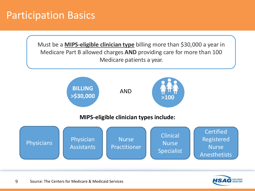### Participation Basics

Must be a **MIPS-eligible clinician type** billing more than \$30,000 a year in Medicare Part B allowed charges **AND** providing care for more than 100 Medicare patients a year.



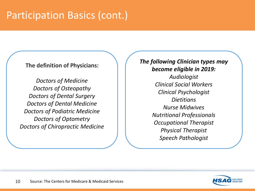## Participation Basics (cont.)

#### **The definition of Physicians:**

*Doctors of Medicine Doctors of Osteopathy Doctors of Dental Surgery Doctors of Dental Medicine Doctors of Podiatric Medicine Doctors of Optometry Doctors of Chiropractic Medicine*

#### *The following Clinician types may become eligible in 2019:*

*Audiologist Clinical Social Workers Clinical Psychologist Dietitians Nurse Midwives Nutritional Professionals Occupational Therapist Physical Therapist Speech Pathologist*

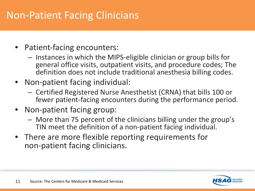## Non-Patient Facing Clinicians

- Patient-facing encounters:
	- Instances in which the MIPS-eligible clinician or group bills for general office visits, outpatient visits, and procedure codes; The definition does not include traditional anesthesia billing codes.
- Non-patient facing individual:
	- Certified Registered Nurse Anesthetist (CRNA) that bills 100 or fewer patient-facing encounters during the performance period.
- Non-patient facing group:
	- More than 75 percent of the clinicians billing under the group's TIN meet the definition of a non-patient facing individual.
- There are more flexible reporting requirements for non-patient facing clinicians.

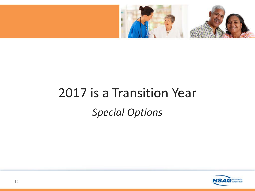

## 2017 is a Transition Year *Special Options*

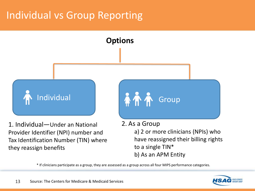## Individual vs Group Reporting



Provider Identifier (NPI) number and Tax Identification Number (TIN) where they reassign benefits

a) 2 or more clinicians (NPIs) who have reassigned their billing rights to a single TIN\* b) As an APM Entity

\* If clinicians participate as a group, they are assessed as a group across all four MIPS performance categories.

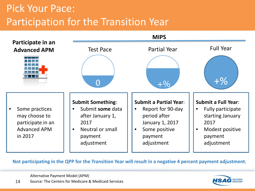## Pick Your Pace: Participation for the Transition Year



**Not participating in the QPP for the Transition Year will result in a negative 4 percent payment adjustment.**

Alternative Payment Model (APM)

14 Source: The Centers for Medicare & Medicaid Services

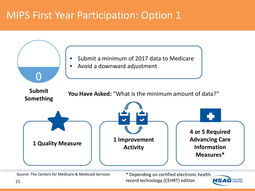## MIPS First Year Participation: Option 1



Source: The Centers for Medicare & Medicaid Services \* Depending on certified electronic health record technology (CEHRT) edition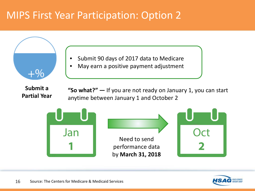## MIPS First Year Participation: Option 2



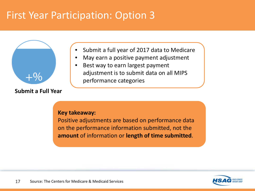## First Year Participation: Option 3



**Submit a Full Year**

- Submit a full year of 2017 data to Medicare
- May earn a positive payment adjustment
- Best way to earn largest payment adjustment is to submit data on all MIPS performance categories

#### **Key takeaway:**

Positive adjustments are based on performance data on the performance information submitted, not the **amount** of information or **length of time submitted**.

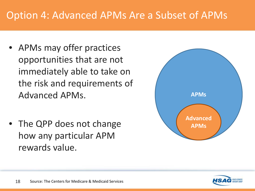## Option 4: Advanced APMs Are a Subset of APMs

- APMs may offer practices opportunities that are not immediately able to take on the risk and requirements of Advanced APMs.
- The QPP does not change how any particular APM rewards value.



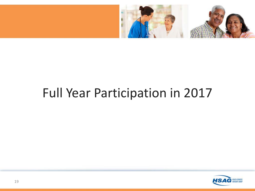

## Full Year Participation in 2017

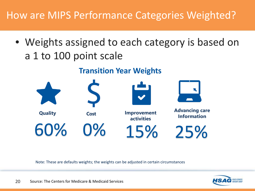## How are MIPS Performance Categories Weighted?

• Weights assigned to each category is based on a 1 to 100 point scale

### **Transition Year Weights**



Note: These are defaults weights; the weights can be adjusted in certain circumstances

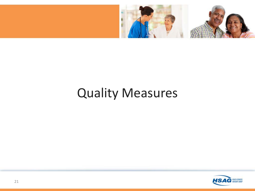

## Quality Measures

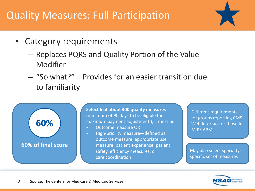## Quality Measures: Full Participation



- Category requirements
	- Replaces PQRS and Quality Portion of the Value Modifier
	- "So what?"—Provides for an easier transition due to familiarity



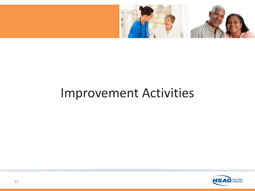

## Improvement Activities

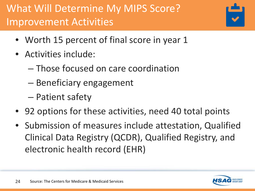## What Will Determine My MIPS Score? Improvement Activities



- Worth 15 percent of final score in year 1
- Activities include:
	- Those focused on care coordination
	- Beneficiary engagement
	- Patient safety
- 92 options for these activities, need 40 total points
- Submission of measures include attestation, Qualified Clinical Data Registry (QCDR), Qualified Registry, and electronic health record (EHR)

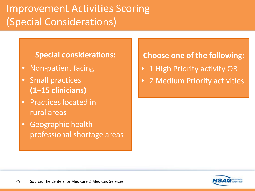## Improvement Activities Scoring (Special Considerations)

#### **Special considerations:**

- Non-patient facing
- Small practices **(1–15 clinicians)**
- Practices located in rural areas
- Geographic health professional shortage areas

### **Choose one of the following:**

- 1 High Priority activity OR
- 2 Medium Priority activities

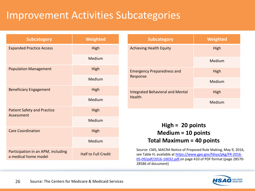## Improvement Activities Subcategories

| <b>Subcategory</b>                                         | Weighted                   | Weighted<br><b>Subcategory</b>                                                                                                                                                                         |  |  |
|------------------------------------------------------------|----------------------------|--------------------------------------------------------------------------------------------------------------------------------------------------------------------------------------------------------|--|--|
| <b>Expanded Practice Access</b>                            | High                       | High<br><b>Achieving Health Equity</b>                                                                                                                                                                 |  |  |
|                                                            | Medium                     | Medium                                                                                                                                                                                                 |  |  |
| <b>Population Management</b>                               | High                       | <b>Emergency Preparedness and</b><br><b>High</b>                                                                                                                                                       |  |  |
|                                                            | Medium                     | Response<br>Medium                                                                                                                                                                                     |  |  |
| <b>Beneficiary Engagement</b>                              | High                       | <b>Integrated Behavioral and Mental</b><br>High                                                                                                                                                        |  |  |
|                                                            | Medium                     | <b>Health</b><br>Medium                                                                                                                                                                                |  |  |
| <b>Patient Safety and Practice</b><br>Assessment           | High                       |                                                                                                                                                                                                        |  |  |
|                                                            | Medium                     | $High = 20 points$                                                                                                                                                                                     |  |  |
| <b>Care Coordination</b>                                   | High                       | Medium = $10$ points                                                                                                                                                                                   |  |  |
|                                                            | Medium                     | <b>Total Maximum = 40 points</b>                                                                                                                                                                       |  |  |
| Participation in an APM, including<br>a medical home model | <b>Half to Full Credit</b> | Source: CMS, MACRA Notice of Proposed Rule Making, May 9, 2016,<br>see Table H; available at https://www.gpo.gov/fdsys/pkg/FR-2016-<br>05-09/pdf/2016-10032.pdf on page 410 of PDF format (page 28570- |  |  |

28586 of document)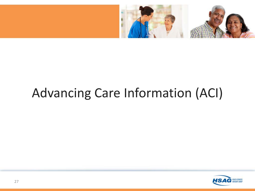

## Advancing Care Information (ACI)

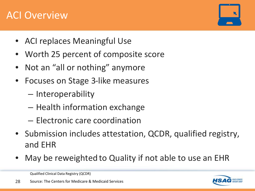### ACI Overview

- ACI replaces Meaningful Use
- Worth 25 percent of composite score
- Not an "all or nothing" anymore
- Focuses on Stage 3-like measures
	- Interoperability
	- Health information exchange
	- Electronic care coordination
- Submission includes attestation, QCDR, qualified registry, and EHR
- May be reweighted to Quality if not able to use an EHR

Qualified Clinical Data Registry (QCDR)



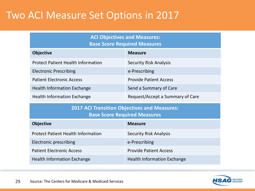### Two ACI Measure Set Options in 2017

| <b>ACI Objectives and Measures:</b> |  |
|-------------------------------------|--|
| <b>Base Score Required Measures</b> |  |

| <b>Objective</b>                          | <b>Measure</b>                   |
|-------------------------------------------|----------------------------------|
| <b>Protect Patient Health Information</b> | <b>Security Risk Analysis</b>    |
| <b>Electronic Prescribing</b>             | e-Prescribing                    |
| <b>Patient Electronic Access</b>          | <b>Provide Patient Access</b>    |
| <b>Health Information Exchange</b>        | Send a Summary of Care           |
| <b>Health Information Exchange</b>        | Request/Accept a Summary of Care |

**2017 ACI Transition Objectives and Measures: Base Score Required Measures**

| <b>Objective</b>                          | <b>Measure</b>                     |
|-------------------------------------------|------------------------------------|
| <b>Protect Patient Health Information</b> | <b>Security Risk Analysis</b>      |
| <b>Electronic prescribing</b>             | e-Prescribing                      |
| <b>Patient Electronic Access</b>          | <b>Provide Patient Access</b>      |
| <b>Health Information Exchange</b>        | <b>Health Information Exchange</b> |

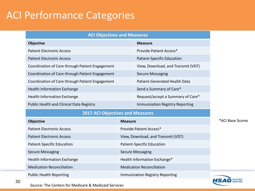## ACI Performance Categories

| <b>ACI Objectives and Measures</b>              |                                      |  |  |
|-------------------------------------------------|--------------------------------------|--|--|
| <b>Objective</b>                                | <b>Measure</b>                       |  |  |
| <b>Patient Electronic Access</b>                | Provide Patient Access*              |  |  |
| <b>Patient Electronic Access</b>                | <b>Patient-Specific Education</b>    |  |  |
| Coordination of Care through Patient Engagement | View, Download, and Transmit (VDT)   |  |  |
| Coordination of Care through Patient Engagement | <b>Secure Messaging</b>              |  |  |
| Coordination of Care through Patient Engagement | <b>Patient-Generated Health Data</b> |  |  |
| <b>Health Information Exchange</b>              | Send a Summary of Care*              |  |  |
| Health Information Exchange                     | Request/accept a Summary of Care*    |  |  |
| Public Health and Clinical Data Registry        | Immunization Registry Reporting      |  |  |

#### **2017 ACI Objectives and Measures**

| <b>Objective</b>                   | <b>Measure</b>                     |
|------------------------------------|------------------------------------|
| <b>Patient Electronic Access</b>   | Provide Patient Access*            |
| <b>Patient Electronic Access</b>   | View, Download, and Transmit (VDT) |
| Patient-Specific Education         | Patient-Specific Education         |
| Secure Messaging                   | Secure Messaging                   |
| <b>Health Information Exchange</b> | Health Information Exchange*       |
| <b>Medication Reconciliation</b>   | <b>Medication Reconciliation</b>   |
| <b>Public Health Reporting</b>     | Immunization Registry Reporting    |

\*ACI Base Scores



Source: The Centers for Medicare & Medicaid Services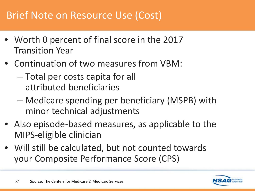## Brief Note on Resource Use (Cost)

- Worth 0 percent of final score in the 2017 Transition Year
- Continuation of two measures from VBM:
	- Total per costs capita for all attributed beneficiaries
	- Medicare spending per beneficiary (MSPB) with minor technical adjustments
- Also episode-based measures, as applicable to the MIPS-eligible clinician
- Will still be calculated, but not counted towards your Composite Performance Score (CPS)

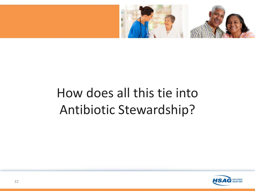

## How does all this tie into Antibiotic Stewardship?

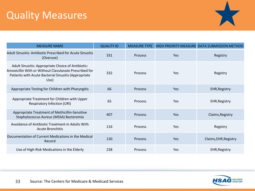## Quality Measures



| <b>MEASURE NAME</b>                                                                                                                                                          | <b>QUALITY ID</b> | <b>MEASURE TYPE</b> |            | HIGH PRIORITY MEASURE DATA SUBMISSION METHOD |
|------------------------------------------------------------------------------------------------------------------------------------------------------------------------------|-------------------|---------------------|------------|----------------------------------------------|
| <b>Adult Sinusitis: Antibiotic Prescribed for Acute Sinusitis</b><br>(Overuse)                                                                                               | 331               | <b>Process</b>      | <b>Yes</b> | Registry                                     |
| Adult Sinusitis: Appropriate Choice of Antibiotic:<br>Amoxicillin With or Without Clavulanate Prescribed for<br>Patients with Acute Bacterial Sinusitis (Appropriate<br>Use) | 332               | <b>Process</b>      | <b>Yes</b> | Registry                                     |
| Appropriate Testing for Children with Pharyngitis                                                                                                                            | 66                | <b>Process</b>      | <b>Yes</b> | <b>EHR, Registry</b>                         |
| Appropriate Treatment for Children with Upper<br><b>Respiratory Infection (URI)</b>                                                                                          | 65                | Process             | <b>Yes</b> | <b>EHR, Registry</b>                         |
| Appropriate Treatment of Methicillin-Sensitive<br>Staphylococcus Aureus (MSSA) Bacteremia                                                                                    | 407               | Process             | <b>Yes</b> | Claims, Registry                             |
| Avoidance of Antibiotic Treatment in Adults With<br><b>Acute Bronchitis</b>                                                                                                  | 116               | Process             | <b>Yes</b> | Registry                                     |
| Documentation of Current Medications in the Medical<br>Record                                                                                                                | 130               | Process             | <b>Yes</b> | Claims, EHR, Registry                        |
| Use of High-Risk Medications in the Elderly                                                                                                                                  | 238               | Process             | Yes        | <b>EHR, Registry</b>                         |

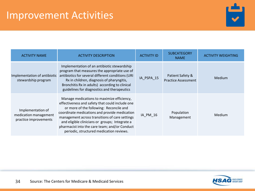### Improvement Activities



| <b>ACTIVITY NAME</b>                                                | <b>ACTIVITY DESCRIPTION</b>                                                                                                                                                                                                                                                                                                                                                                | <b>ACTIVITY ID</b> | <b>SUBCATEGORY</b><br><b>NAME</b>              | <b>ACTIVITY WEIGHTING</b> |
|---------------------------------------------------------------------|--------------------------------------------------------------------------------------------------------------------------------------------------------------------------------------------------------------------------------------------------------------------------------------------------------------------------------------------------------------------------------------------|--------------------|------------------------------------------------|---------------------------|
| Implementation of antibiotic<br>stewardship program                 | Implementation of an antibiotic stewardship<br>program that measures the appropriate use of<br>antibiotics for several different conditions (URI<br>Rx in children, diagnosis of pharyngitis,<br>Bronchitis Rx in adults) according to clinical<br>guidelines for diagnostics and therapeutics                                                                                             | IA_PSPA_15         | Patient Safety &<br><b>Practice Assessment</b> | <b>Medium</b>             |
| Implementation of<br>medication management<br>practice improvements | Manage medications to maximize efficiency,<br>effectiveness and safety that could include one<br>or more of the following: Reconcile and<br>coordinate medications and provide medication<br>management across transitions of care settings<br>and eligible clinicians or groups; Integrate a<br>pharmacist into the care team; and/or Conduct<br>periodic, structured medication reviews. | IA_PM_16           | Population<br>Management                       | Medium                    |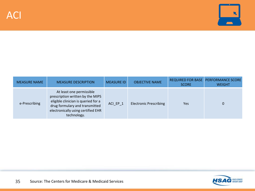

| <b>MEASURE NAME</b> | <b>MEASURE DESCRIPTION</b>                                                                                                                                                                 | <b>MEASURE ID</b> | <b>OBJECTIVE NAME</b>         | <b>SCORE</b> | REQUIRED FOR BASE PERFORMANCE SCORE<br><b>WEIGHT</b> |
|---------------------|--------------------------------------------------------------------------------------------------------------------------------------------------------------------------------------------|-------------------|-------------------------------|--------------|------------------------------------------------------|
| e-Prescribing       | At least one permissible<br>prescription written by the MIPS<br>eligible clinician is queried for a<br>drug formulary and transmitted<br>electronically using certified EHR<br>technology. | ACI EP 1          | <b>Electronic Prescribing</b> | Yes          | 0                                                    |

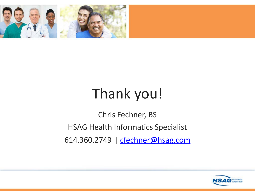

# Thank you!

Chris Fechner, BS HSAG Health Informatics Specialist 614.360.2749 | [cfechner@hsag.com](mailto:cfechner@hsag.com)